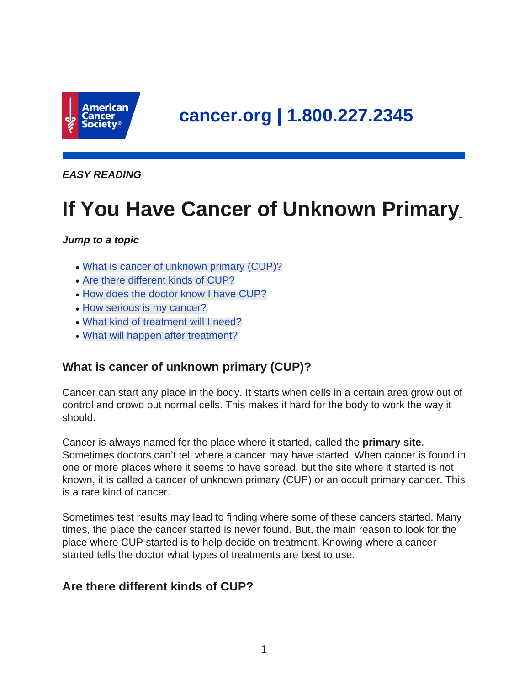

**cancer.org | 1.800.227.2345**

**EASY READING**

# **If You Have Cancer of Unknown Primary**

#### **Jump to a topic**

- What is cancer of unknown primary (CUP)?
- Are there different kinds of CUP?
- How does the doctor know I have CUP?
- How serious is my cancer?
- What kind of treatment will I need?
- What will happen after treatment?

# **What is cancer of unknown primary (CUP)?**

Cancer can start any place in the body. It starts when cells in a certain area grow out of control and crowd out normal cells. This makes it hard for the body to work the way it should.

Cancer is always named for the place where it started, called the **primary site**. Sometimes doctors can't tell where a cancer may have started. When cancer is found in one or more places where it seems to have spread, but the site where it started is not known, it is called a cancer of unknown primary (CUP) or an occult primary cancer. This is a rare kind of cancer.

Sometimes test results may lead to finding where some of these cancers started. Many times, the place the cancer started is never found. But, the main reason to look for the place where CUP started is to help decide on treatment. Knowing where a cancer started tells the doctor what types of treatments are best to use.

# **Are there different kinds of CUP?**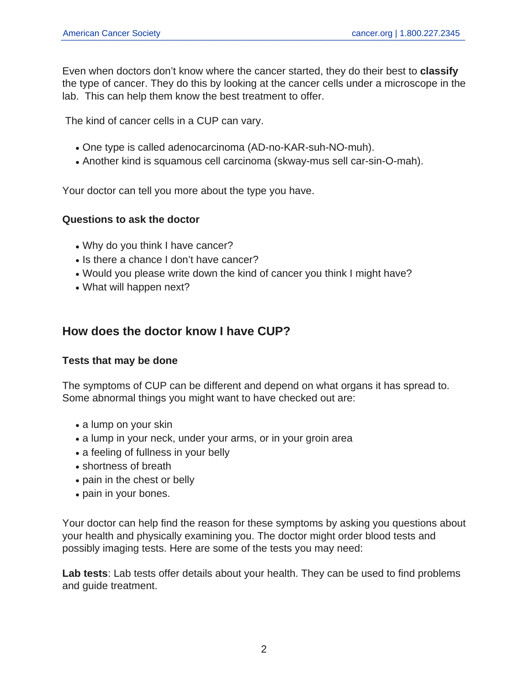Even when doctors don't know where the cancer started, they do their best to **classify** the type of cancer. They do this by looking at the cancer cells under a microscope in the lab. This can help them know the best treatment to offer.

The kind of cancer cells in a CUP can vary.

- One type is called adenocarcinoma (AD-no-KAR-suh-NO-muh).
- Another kind is squamous cell carcinoma (skway-mus sell car-sin-O-mah).

Your doctor can tell you more about the type you have.

#### **Questions to ask the doctor**

- Why do you think I have cancer?
- Is there a chance I don't have cancer?
- Would you please write down the kind of cancer you think I might have?
- What will happen next?

# **How does the doctor know I have CUP?**

#### **Tests that may be done**

The symptoms of CUP can be different and depend on what organs it has spread to. Some abnormal things you might want to have checked out are:

- a lump on your skin
- a lump in your neck, under your arms, or in your groin area
- a feeling of fullness in your belly
- shortness of breath
- pain in the chest or belly
- pain in your bones.

Your doctor can help find the reason for these symptoms by asking you questions about your health and physically examining you. The doctor might order blood tests and possibly imaging tests. Here are some of the tests you may need:

**Lab tests**: Lab tests offer details about your health. They can be used to find problems and guide treatment.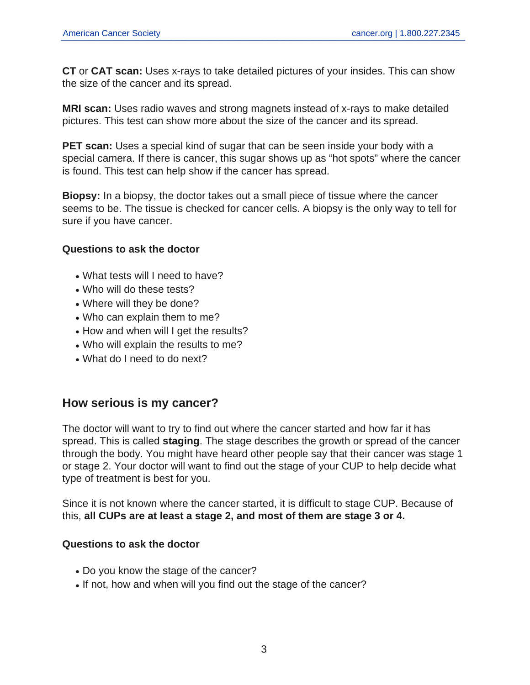**CT** or **CAT scan:** Uses x-rays to take detailed pictures of your insides. This can show the size of the cancer and its spread.

**MRI scan:** Uses radio waves and strong magnets instead of x-rays to make detailed pictures. This test can show more about the size of the cancer and its spread.

**PET scan:** Uses a special kind of sugar that can be seen inside your body with a special camera. If there is cancer, this sugar shows up as "hot spots" where the cancer is found. This test can help show if the cancer has spread.

**Biopsy:** In a biopsy, the doctor takes out a small piece of tissue where the cancer seems to be. The tissue is checked for cancer cells. A biopsy is the only way to tell for sure if you have cancer.

#### **Questions to ask the doctor**

- What tests will I need to have?
- Who will do these tests?
- Where will they be done?
- Who can explain them to me?
- How and when will I get the results?
- Who will explain the results to me?
- What do I need to do next?

## **How serious is my cancer?**

The doctor will want to try to find out where the cancer started and how far it has spread. This is called **staging**. The stage describes the growth or spread of the cancer through the body. You might have heard other people say that their cancer was stage 1 or stage 2. Your doctor will want to find out the stage of your CUP to help decide what type of treatment is best for you.

Since it is not known where the cancer started, it is difficult to stage CUP. Because of this, **all CUPs are at least a stage 2, and most of them are stage 3 or 4.**

#### **Questions to ask the doctor**

- Do you know the stage of the cancer?
- If not, how and when will you find out the stage of the cancer?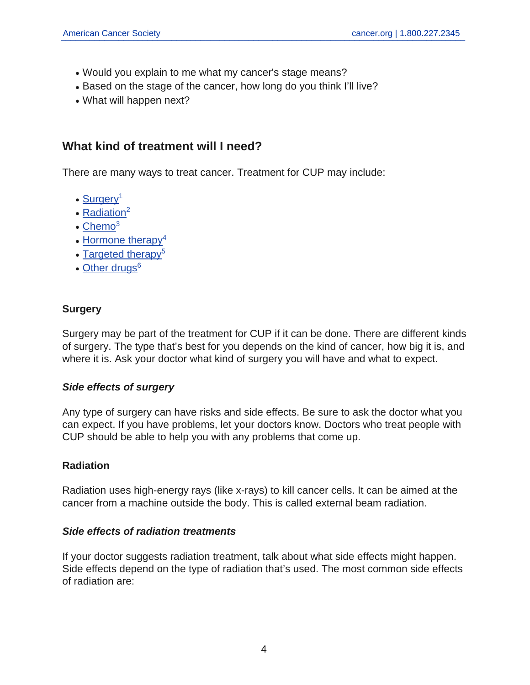- Would you explain to me what my cancer's stage means?
- Based on the stage of the cancer, how long do you think I'll live?
- What will happen next?

## **What kind of treatment will I need?**

There are many ways to treat cancer. Treatment for CUP may include:

- [Surgery](https://www.cancer.org/cancer/cancer-unknown-primary/treating/surgery.html)<sup>1</sup>
- $\cdot$  [Radiation](https://www.cancer.org/cancer/cancer-unknown-primary/treating/radiation.html)<sup>2</sup>
- $\cdot$  [Chemo](https://www.cancer.org/cancer/cancer-unknown-primary/treating/chemotherapy.html)<sup>3</sup>
- $\bullet$  [Hormone therapy](https://www.cancer.org/cancer/cancer-unknown-primary/treating/hormone-therapy.html)<sup>4</sup>
- [Targeted therapy](https://www.cancer.org/cancer/cancer-unknown-primary/treating/targeted-therapy.html)<sup>5</sup>
- [Other drugs](https://www.cancer.org/cancer/cancer-unknown-primary/treating/other-drugs.html)<sup>6</sup>

## **Surgery**

Surgery may be part of the treatment for CUP if it can be done. There are different kinds of surgery. The type that's best for you depends on the kind of cancer, how big it is, and where it is. Ask your doctor what kind of surgery you will have and what to expect.

#### **Side effects of surgery**

Any type of surgery can have risks and side effects. Be sure to ask the doctor what you can expect. If you have problems, let your doctors know. Doctors who treat people with CUP should be able to help you with any problems that come up.

#### **Radiation**

Radiation uses high-energy rays (like x-rays) to kill cancer cells. It can be aimed at the cancer from a machine outside the body. This is called external beam radiation.

#### **Side effects of radiation treatments**

If your doctor suggests radiation treatment, talk about what side effects might happen. Side effects depend on the type of radiation that's used. The most common side effects of radiation are: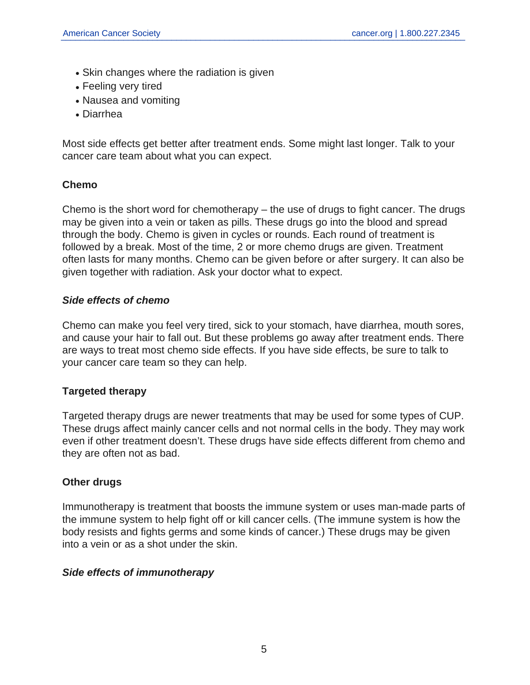- Skin changes where the radiation is given
- Feeling very tired
- Nausea and vomiting
- Diarrhea

Most side effects get better after treatment ends. Some might last longer. Talk to your cancer care team about what you can expect.

#### **Chemo**

Chemo is the short word for chemotherapy – the use of drugs to fight cancer. The drugs may be given into a vein or taken as pills. These drugs go into the blood and spread through the body. Chemo is given in cycles or rounds. Each round of treatment is followed by a break. Most of the time, 2 or more chemo drugs are given. Treatment often lasts for many months. Chemo can be given before or after surgery. It can also be given together with radiation. Ask your doctor what to expect.

#### **Side effects of chemo**

Chemo can make you feel very tired, sick to your stomach, have diarrhea, mouth sores, and cause your hair to fall out. But these problems go away after treatment ends. There are ways to treat most chemo side effects. If you have side effects, be sure to talk to your cancer care team so they can help.

## **Targeted therapy**

Targeted therapy drugs are newer treatments that may be used for some types of CUP. These drugs affect mainly cancer cells and not normal cells in the body. They may work even if other treatment doesn't. These drugs have side effects different from chemo and they are often not as bad.

## **Other drugs**

Immunotherapy is treatment that boosts the immune system or uses man-made parts of the immune system to help fight off or kill cancer cells. (The immune system is how the body resists and fights germs and some kinds of cancer.) These drugs may be given into a vein or as a shot under the skin.

#### **Side effects of immunotherapy**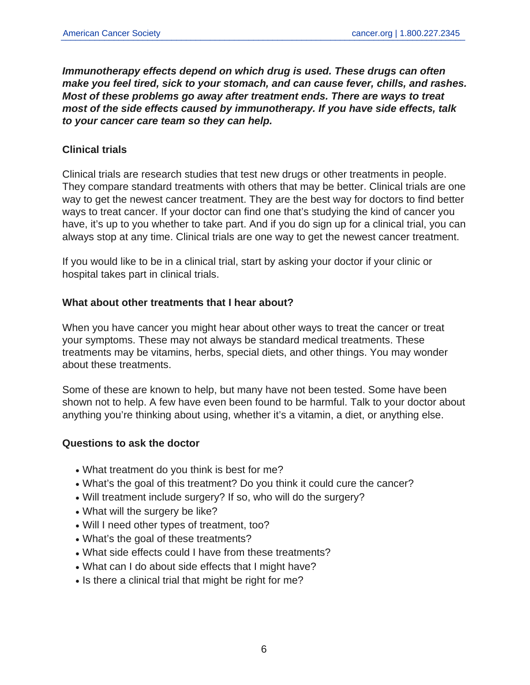**Immunotherapy effects depend on which drug is used. These drugs can often make you feel tired, sick to your stomach, and can cause fever, chills, and rashes. Most of these problems go away after treatment ends. There are ways to treat most of the side effects caused by immunotherapy. If you have side effects, talk to your cancer care team so they can help.**

#### **Clinical trials**

Clinical trials are research studies that test new drugs or other treatments in people. They compare standard treatments with others that may be better. Clinical trials are one way to get the newest cancer treatment. They are the best way for doctors to find better ways to treat cancer. If your doctor can find one that's studying the kind of cancer you have, it's up to you whether to take part. And if you do sign up for a clinical trial, you can always stop at any time. Clinical trials are one way to get the newest cancer treatment.

If you would like to be in a clinical trial, start by asking your doctor if your clinic or hospital takes part in clinical trials.

#### **What about other treatments that I hear about?**

When you have cancer you might hear about other ways to treat the cancer or treat your symptoms. These may not always be standard medical treatments. These treatments may be vitamins, herbs, special diets, and other things. You may wonder about these treatments.

Some of these are known to help, but many have not been tested. Some have been shown not to help. A few have even been found to be harmful. Talk to your doctor about anything you're thinking about using, whether it's a vitamin, a diet, or anything else.

#### **Questions to ask the doctor**

- What treatment do you think is best for me?
- What's the goal of this treatment? Do you think it could cure the cancer?
- Will treatment include surgery? If so, who will do the surgery?
- What will the surgery be like?
- Will I need other types of treatment, too?
- What's the goal of these treatments?
- What side effects could I have from these treatments?
- What can I do about side effects that I might have?
- Is there a clinical trial that might be right for me?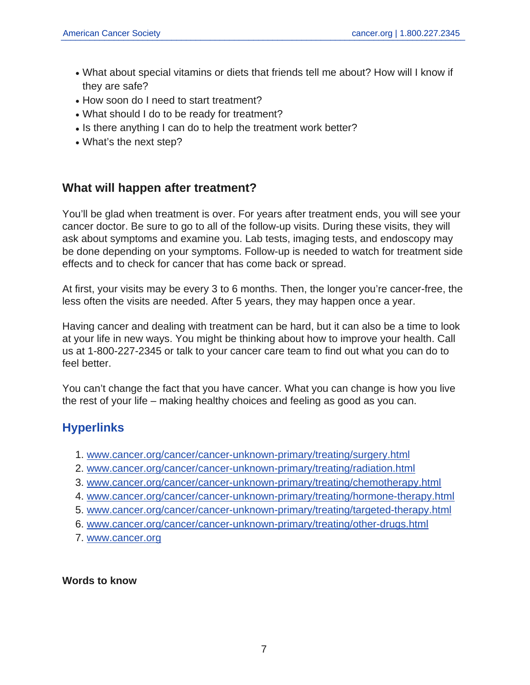- What about special vitamins or diets that friends tell me about? How will I know if they are safe?
- How soon do I need to start treatment?
- What should I do to be ready for treatment?
- Is there anything I can do to help the treatment work better?
- What's the next step?

## **What will happen after treatment?**

You'll be glad when treatment is over. For years after treatment ends, you will see your cancer doctor. Be sure to go to all of the follow-up visits. During these visits, they will ask about symptoms and examine you. Lab tests, imaging tests, and endoscopy may be done depending on your symptoms. Follow-up is needed to watch for treatment side effects and to check for cancer that has come back or spread.

At first, your visits may be every 3 to 6 months. Then, the longer you're cancer-free, the less often the visits are needed. After 5 years, they may happen once a year.

Having cancer and dealing with treatment can be hard, but it can also be a time to look at your life in new ways. You might be thinking about how to improve your health. Call us at 1-800-227-2345 or talk to your cancer care team to find out what you can do to feel better.

You can't change the fact that you have cancer. What you can change is how you live the rest of your life – making healthy choices and feeling as good as you can.

# **Hyperlinks**

- 1. [www.cancer.org/cancer/cancer-unknown-primary/treating/surgery.html](https://www.cancer.org/cancer/cancer-unknown-primary/treating/surgery.html)
- 2. [www.cancer.org/cancer/cancer-unknown-primary/treating/radiation.html](https://www.cancer.org/cancer/cancer-unknown-primary/treating/radiation.html)
- 3. [www.cancer.org/cancer/cancer-unknown-primary/treating/chemotherapy.html](https://www.cancer.org/cancer/cancer-unknown-primary/treating/chemotherapy.html)
- 4. [www.cancer.org/cancer/cancer-unknown-primary/treating/hormone-therapy.html](https://www.cancer.org/cancer/cancer-unknown-primary/treating/hormone-therapy.html)
- 5. [www.cancer.org/cancer/cancer-unknown-primary/treating/targeted-therapy.html](https://www.cancer.org/cancer/cancer-unknown-primary/treating/targeted-therapy.html)
- 6. [www.cancer.org/cancer/cancer-unknown-primary/treating/other-drugs.html](https://www.cancer.org/cancer/cancer-unknown-primary/treating/other-drugs.html)
- 7. [www.cancer.org](https://www.cancer.org)

**Words to know**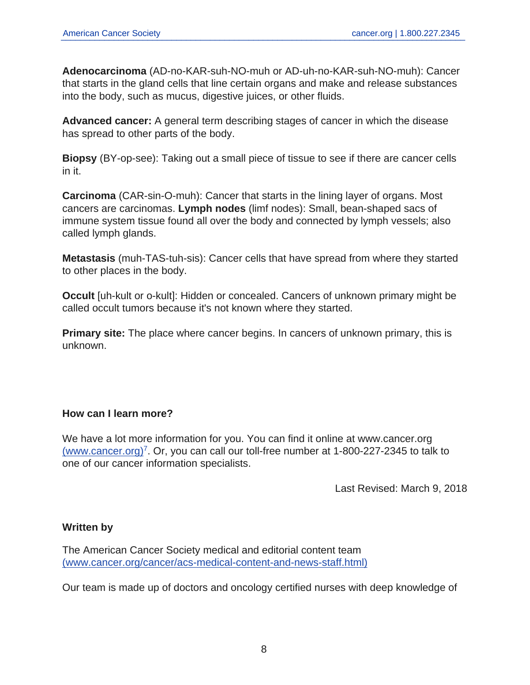**Adenocarcinoma** (AD-no-KAR-suh-NO-muh or AD-uh-no-KAR-suh-NO-muh): Cancer that starts in the gland cells that line certain organs and make and release substances into the body, such as mucus, digestive juices, or other fluids.

**Advanced cancer:** A general term describing stages of cancer in which the disease has spread to other parts of the body.

**Biopsy** (BY-op-see): Taking out a small piece of tissue to see if there are cancer cells in it.

**Carcinoma** (CAR-sin-O-muh): Cancer that starts in the lining layer of organs. Most cancers are carcinomas. **Lymph nodes** (limf nodes): Small, bean-shaped sacs of immune system tissue found all over the body and connected by lymph vessels; also called lymph glands.

**Metastasis** (muh-TAS-tuh-sis): Cancer cells that have spread from where they started to other places in the body.

**Occult** [uh-kult or o-kult]: Hidden or concealed. Cancers of unknown primary might be called occult tumors because it's not known where they started.

**Primary site:** The place where cancer begins. In cancers of unknown primary, this is unknown.

## **How can I learn more?**

We have a lot more information for you. You can find it online at www.cancer.org [\(www.cancer.org\)](https://www.cancer.org)<sup>7</sup>. Or, you can call our toll-free number at 1-800-227-2345 to talk to one of our cancer information specialists.

Last Revised: March 9, 2018

## **Written by**

The American Cancer Society medical and editorial content team [\(www.cancer.org/cancer/acs-medical-content-and-news-staff.html\)](https://www.cancer.org/cancer/acs-medical-content-and-news-staff.html)

Our team is made up of doctors and oncology certified nurses with deep knowledge of